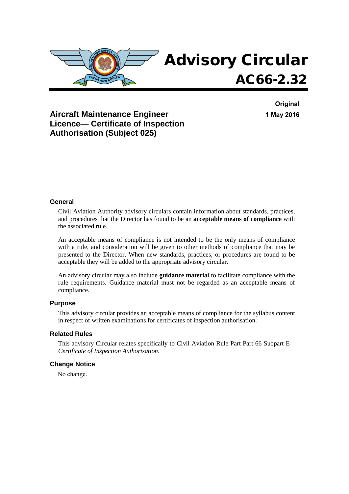

**Original 1 May 2016**

### **Aircraft Maintenance Engineer Licence— Certificate of Inspection Authorisation (Subject 025)**

### **General**

Civil Aviation Authority advisory circulars contain information about standards, practices, and procedures that the Director has found to be an **acceptable means of compliance** with the associated rule.

An acceptable means of compliance is not intended to be the only means of compliance with a rule, and consideration will be given to other methods of compliance that may be presented to the Director. When new standards, practices, or procedures are found to be acceptable they will be added to the appropriate advisory circular.

An advisory circular may also include **guidance material** to facilitate compliance with the rule requirements. Guidance material must not be regarded as an acceptable means of compliance.

#### **Purpose**

This advisory circular provides an acceptable means of compliance for the syllabus content in respect of written examinations for certificates of inspection authorisation.

### **Related Rules**

This advisory Circular relates specifically to Civil Aviation Rule Part Part 66 Subpart E – *Certificate of Inspection Authorisation*.

### **Change Notice**

No change.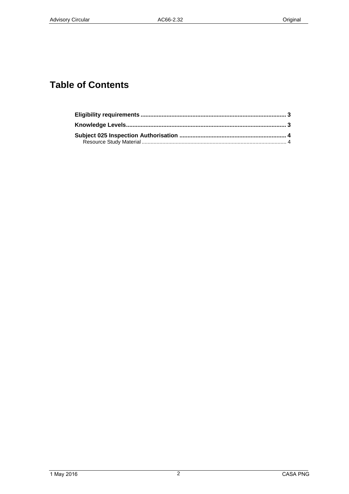# **Table of Contents**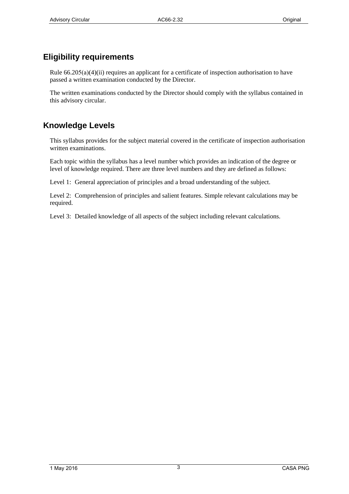## **Eligibility requirements**

Rule  $66.205(a)(4)(ii)$  requires an applicant for a certificate of inspection authorisation to have passed a written examination conducted by the Director.

The written examinations conducted by the Director should comply with the syllabus contained in this advisory circular.

## **Knowledge Levels**

This syllabus provides for the subject material covered in the certificate of inspection authorisation written examinations.

Each topic within the syllabus has a level number which provides an indication of the degree or level of knowledge required. There are three level numbers and they are defined as follows:

Level 1: General appreciation of principles and a broad understanding of the subject.

Level 2: Comprehension of principles and salient features. Simple relevant calculations may be required.

Level 3: Detailed knowledge of all aspects of the subject including relevant calculations.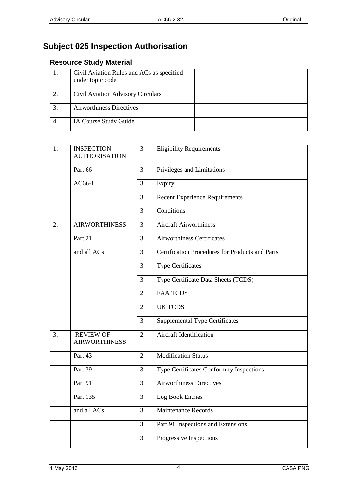# **Subject 025 Inspection Authorisation**

## **Resource Study Material**

|    | Civil Aviation Rules and ACs as specified<br>under topic code |  |
|----|---------------------------------------------------------------|--|
| 2. | Civil Aviation Advisory Circulars                             |  |
|    | <b>Airworthiness Directives</b>                               |  |
| 4. | IA Course Study Guide                                         |  |

| 1.               | <b>INSPECTION</b><br><b>AUTHORISATION</b> | 3              | <b>Eligibility Requirements</b>                        |
|------------------|-------------------------------------------|----------------|--------------------------------------------------------|
|                  | Part 66                                   | $\overline{3}$ | Privileges and Limitations                             |
|                  | AC66-1                                    | $\overline{3}$ | Expiry                                                 |
|                  |                                           | 3              | <b>Recent Experience Requirements</b>                  |
|                  |                                           | 3              | Conditions                                             |
| $\overline{2}$ . | <b>AIRWORTHINESS</b>                      | 3              | <b>Aircraft Airworthiness</b>                          |
|                  | Part 21                                   | $\overline{3}$ | <b>Airworthiness Certificates</b>                      |
|                  | and all ACs                               | 3              | <b>Certification Procedures for Products and Parts</b> |
|                  |                                           | $\overline{3}$ | <b>Type Certificates</b>                               |
|                  |                                           | $\overline{3}$ | Type Certificate Data Sheets (TCDS)                    |
|                  |                                           | $\overline{2}$ | <b>FAA TCDS</b>                                        |
|                  |                                           | $\overline{2}$ | <b>UK TCDS</b>                                         |
|                  |                                           | $\overline{3}$ | <b>Supplemental Type Certificates</b>                  |
| $\overline{3}$ . | <b>REVIEW OF</b><br><b>AIRWORTHINESS</b>  | $\overline{2}$ | <b>Aircraft Identification</b>                         |
|                  | Part 43                                   | $\overline{2}$ | <b>Modification Status</b>                             |
|                  | Part 39                                   | $\overline{3}$ | Type Certificates Conformity Inspections               |
|                  | Part 91                                   | $\overline{3}$ | <b>Airworthiness Directives</b>                        |
|                  | Part 135                                  | $\overline{3}$ | Log Book Entries                                       |
|                  | and all ACs                               | $\overline{3}$ | Maintenance Records                                    |
|                  |                                           | 3              | Part 91 Inspections and Extensions                     |
|                  |                                           | $\overline{3}$ | Progressive Inspections                                |